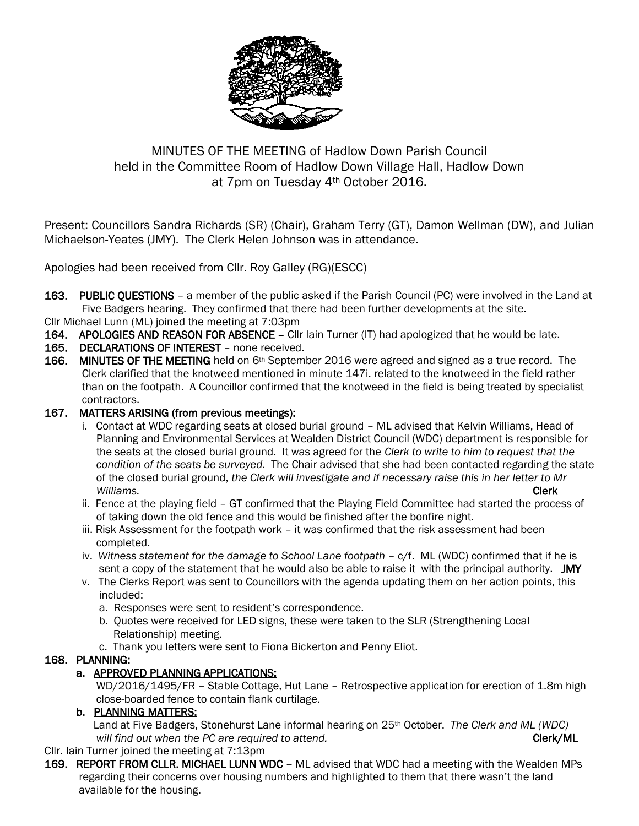

# MINUTES OF THE MEETING of Hadlow Down Parish Council held in the Committee Room of Hadlow Down Village Hall, Hadlow Down at 7pm on Tuesday 4th October 2016.

Present: Councillors Sandra Richards (SR) (Chair), Graham Terry (GT), Damon Wellman (DW), and Julian Michaelson-Yeates (JMY). The Clerk Helen Johnson was in attendance.

Apologies had been received from Cllr. Roy Galley (RG)(ESCC)

163. PUBLIC QUESTIONS – a member of the public asked if the Parish Council (PC) were involved in the Land at Five Badgers hearing. They confirmed that there had been further developments at the site.

Cllr Michael Lunn (ML) joined the meeting at 7:03pm

- 164. APOLOGIES AND REASON FOR ABSENCE Cllr lain Turner (IT) had apologized that he would be late.
- 165. DECLARATIONS OF INTEREST none received.
- 166. MINUTES OF THE MEETING held on 6<sup>th</sup> September 2016 were agreed and signed as a true record. The Clerk clarified that the knotweed mentioned in minute 147i. related to the knotweed in the field rather than on the footpath. A Councillor confirmed that the knotweed in the field is being treated by specialist contractors.

### 167. MATTERS ARISING (from previous meetings):

- i. Contact at WDC regarding seats at closed burial ground ML advised that Kelvin Williams, Head of Planning and Environmental Services at Wealden District Council (WDC) department is responsible for the seats at the closed burial ground. It was agreed for the *Clerk to write to him to request that the condition of the seats be surveyed.* The Chair advised that she had been contacted regarding the state of the closed burial ground, *the Clerk will investigate and if necessary raise this in her letter to Mr Williams.* Clerk
	- ii. Fence at the playing field GT confirmed that the Playing Field Committee had started the process of of taking down the old fence and this would be finished after the bonfire night.
	- iii. Risk Assessment for the footpath work it was confirmed that the risk assessment had been completed.
	- iv. *Witness statement for the damage to School Lane footpath* c/f. ML (WDC) confirmed that if he is sent a copy of the statement that he would also be able to raise it with the principal authority. JMY
	- v. The Clerks Report was sent to Councillors with the agenda updating them on her action points, this included:
		- a. Responses were sent to resident's correspondence.
		- b. Quotes were received for LED signs, these were taken to the SLR (Strengthening Local Relationship) meeting.
		- c. Thank you letters were sent to Fiona Bickerton and Penny Eliot.

#### 168. PLANNING:

#### a. APPROVED PLANNING APPLICATIONS:

 WD/2016/1495/FR – Stable Cottage, Hut Lane – Retrospective application for erection of 1.8m high close-boarded fence to contain flank curtilage.

#### b. PLANNING MATTERS:

 Land at Five Badgers, Stonehurst Lane informal hearing on 25th October. *The Clerk and ML (WDC) will find out when the PC are required to attend.* The same of the contract of  $\mathsf{Clerk}/\mathsf{ML}$ 

## Cllr. Iain Turner joined the meeting at 7:13pm

169. REPORT FROM CLLR. MICHAEL LUNN WDC - ML advised that WDC had a meeting with the Wealden MPs regarding their concerns over housing numbers and highlighted to them that there wasn't the land available for the housing.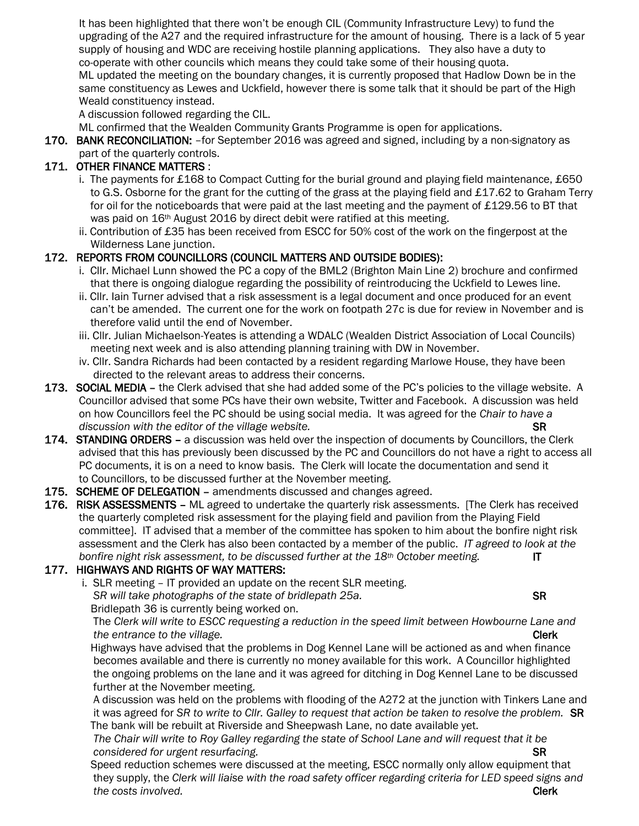It has been highlighted that there won't be enough CIL (Community Infrastructure Levy) to fund the upgrading of the A27 and the required infrastructure for the amount of housing. There is a lack of 5 year supply of housing and WDC are receiving hostile planning applications. They also have a duty to co-operate with other councils which means they could take some of their housing quota. ML updated the meeting on the boundary changes, it is currently proposed that Hadlow Down be in the same constituency as Lewes and Uckfield, however there is some talk that it should be part of the High Weald constituency instead.

A discussion followed regarding the CIL.

ML confirmed that the Wealden Community Grants Programme is open for applications.

170. BANK RECONCILIATION: -for September 2016 was agreed and signed, including by a non-signatory as part of the quarterly controls.

## 171. OTHER FINANCE MATTERS :

- i. The payments for £168 to Compact Cutting for the burial ground and playing field maintenance, £650 to G.S. Osborne for the grant for the cutting of the grass at the playing field and £17.62 to Graham Terry for oil for the noticeboards that were paid at the last meeting and the payment of £129.56 to BT that was paid on 16th August 2016 by direct debit were ratified at this meeting.
- ii. Contribution of £35 has been received from ESCC for 50% cost of the work on the fingerpost at the Wilderness Lane junction.

## 172. REPORTS FROM COUNCILLORS (COUNCIL MATTERS AND OUTSIDE BODIES):

- i. Cllr. Michael Lunn showed the PC a copy of the BML2 (Brighton Main Line 2) brochure and confirmed that there is ongoing dialogue regarding the possibility of reintroducing the Uckfield to Lewes line.
- ii. Cllr. Iain Turner advised that a risk assessment is a legal document and once produced for an event can't be amended. The current one for the work on footpath 27c is due for review in November and is therefore valid until the end of November.
- iii. Cllr. Julian Michaelson-Yeates is attending a WDALC (Wealden District Association of Local Councils) meeting next week and is also attending planning training with DW in November.
- iv. Cllr. Sandra Richards had been contacted by a resident regarding Marlowe House, they have been directed to the relevant areas to address their concerns.
- 173. SOCIAL MEDIA the Clerk advised that she had added some of the PC's policies to the village website. A Councillor advised that some PCs have their own website, Twitter and Facebook. A discussion was held on how Councillors feel the PC should be using social media. It was agreed for the *Chair to have a discussion with the editor of the village website.*  $S$ R
- 174. STANDING ORDERS a discussion was held over the inspection of documents by Councillors, the Clerk advised that this has previously been discussed by the PC and Councillors do not have a right to access all PC documents, it is on a need to know basis. The Clerk will locate the documentation and send it to Councillors, to be discussed further at the November meeting.
- 175. SCHEME OF DELEGATION amendments discussed and changes agreed.
- 176. RISK ASSESSMENTS ML agreed to undertake the quarterly risk assessments. [The Clerk has received the quarterly completed risk assessment for the playing field and pavilion from the Playing Field committee]. IT advised that a member of the committee has spoken to him about the bonfire night risk assessment and the Clerk has also been contacted by a member of the public. *IT agreed to look at the bonfire night risk assessment, to be discussed further at the 18th October meeting.* IT

## 177. HIGHWAYS AND RIGHTS OF WAY MATTERS:

 i. SLR meeting – IT provided an update on the recent SLR meeting. *SR will take photographs of the state of bridlepath 25a.* SR

Bridlepath 36 is currently being worked on.

 The *Clerk will write to ESCC requesting a reduction in the speed limit between Howbourne Lane and the entrance to the village.* Clerk **Clerk Clerk Clerk** 

 Highways have advised that the problems in Dog Kennel Lane will be actioned as and when finance becomes available and there is currently no money available for this work. A Councillor highlighted the ongoing problems on the lane and it was agreed for ditching in Dog Kennel Lane to be discussed further at the November meeting.

 A discussion was held on the problems with flooding of the A272 at the junction with Tinkers Lane and it was agreed for *SR to write to Cllr. Galley to request that action be taken to resolve the problem.* SR The bank will be rebuilt at Riverside and Sheepwash Lane, no date available yet.

 *The Chair will write to Roy Galley regarding the state of School Lane and will request that it be considered for urgent resurfacing.* SR **SR** 

 Speed reduction schemes were discussed at the meeting, ESCC normally only allow equipment that they supply, the *Clerk will liaise with the road safety officer regarding criteria for LED speed signs and the costs involved.* Clerk the costs involved.